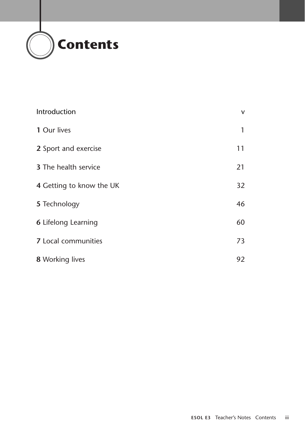

| Introduction                | $\mathsf{V}$ |
|-----------------------------|--------------|
| 1 Our lives                 | 1            |
| 2 Sport and exercise        | 11           |
| <b>3</b> The health service | 21           |
| 4 Getting to know the UK    | 32           |
| 5 Technology                | 46           |
| <b>6 Lifelong Learning</b>  | 60           |
| <b>7</b> Local communities  | 73           |
| <b>8</b> Working lives      | 92           |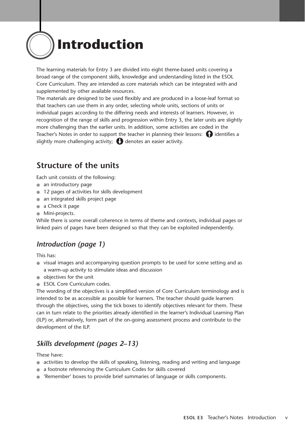

The learning materials for Entry 3 are divided into eight theme-based units covering a broad range of the component skills, knowledge and understanding listed in the ESOL Core Curriculum. They are intended as core materials which can be integrated with and supplemented by other available resources.

The materials are designed to be used flexibly and are produced in a loose-leaf format so that teachers can use them in any order, selecting whole units, sections of units or individual pages according to the differing needs and interests of learners. However, in recognition of the range of skills and progression within Entry 3, the later units are slightly more challenging than the earlier units. In addition, some activities are coded in the Teacher's Notes in order to support the teacher in planning their lessons:  $\bigcap$  identifies a slightly more challenging activity;  $\bigodot$  denotes an easier activity.

## **Structure of the units**

Each unit consists of the following:

- an introductory page
- 12 pages of activities for skills development
- an integrated skills project page
- a Check it page
- Mini-projects.

While there is some overall coherence in terms of theme and contexts, individual pages or linked pairs of pages have been designed so that they can be exploited independently.

### *Introduction (page 1)*

This has:

- visual images and accompanying question prompts to be used for scene setting and as a warm-up activity to stimulate ideas and discussion
- objectives for the unit
- ESOL Core Curriculum codes.

The wording of the objectives is a simplified version of Core Curriculum terminology and is intended to be as accessible as possible for learners. The teacher should guide learners through the objectives, using the tick boxes to identify objectives relevant for them. These can in turn relate to the priorities already identified in the learner's Individual Learning Plan (ILP) or, alternatively, form part of the on-going assessment process and contribute to the development of the ILP.

## *Skills development (pages 2–13)*

These have:

- activities to develop the skills of speaking, listening, reading and writing and language
- a footnote referencing the Curriculum Codes for skills covered
- 'Remember' boxes to provide brief summaries of language or skills components.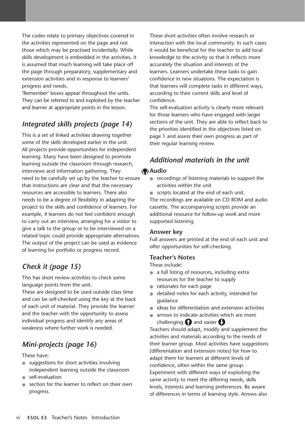The codes relate to primary objectives covered in the activities represented on the page and not those which may be practised incidentally. While skills development is embedded in the activities, it is assumed that much learning will take place off the page through preparatory, supplementary and extension activities and in response to learners' progress and needs.

'Remember' boxes appear throughout the units. They can be referred to and exploited by the teacher and learner at appropriate points in the lesson.

## *Integrated skills projects (page 14)*

This is a set of linked activities drawing together some of the skills developed earlier in the unit. All projects provide opportunities for independent learning. Many have been designed to promote learning outside the classroom through research, interviews and information gathering. They need to be carefully set up by the teacher to ensure that instructions are clear and that the necessary resources are accessible to learners. There also needs to be a degree of flexibility in adapting the project to the skills and confidence of learners. For example, if learners do not feel confident enough to carry out an interview, arranging for a visitor to give a talk to the group or to be interviewed on a related topic could provide appropriate alternatives. The output of the project can be used as evidence of learning for portfolio or progress record.

## *Check it (page 15)*

This has short review activities to check some language points from the unit.

These are designed to be used outside class time and can be self-checked using the key at the back of each unit of material. They provide the learner and the teacher with the opportunity to assess individual progress and identify any areas of weakness where further work is needed.

## *Mini-projects (page 16)*

#### These have:

- suggestions for short activities involving independent learning outside the classroom
- self-evaluation
- section for the learner to reflect on their own progress.

These short activities often involve research or interaction with the local community. In such cases it would be beneficial for the teacher to add local knowledge to the activity so that it reflects more accurately the situation and interests of the learners. Learners undertake these tasks to gain confidence in new situations. The expectation is that learners will complete tasks in different ways, according to their current skills and level of confidence.

The self-evaluation activity is clearly more relevant for those learners who have engaged with larger sections of the unit. They are able to reflect back to the priorities identified in the objectives listed on page 1 and assess their own progress as part of their regular learning review.

## *Additional materials in the unit*

#### **Audio**

- recordings of listening materials to support the activities within the unit
- scripts located at the end of each unit.

The recordings are available on CD ROM and audio cassette. The accompanying scripts provide an additional resource for follow-up work and more supported listening.

#### **Answer key**

Full answers are printed at the end of each unit and offer opportunities for self-checking.

#### **Teacher's Notes**

These include:

- a full listing of resources, including extra resources for the teacher to supply
- rationales for each page
- detailed notes for each activity, intended for guidance
- ideas for differentiation and extension activities
- arrows to indicate activities which are more challenging  $\bigcap$  and easier  $\bigcup$  .

Teachers should adapt, modify and supplement the activities and materials according to the needs of their learner group. Most activities have suggestions (differentation and extension notes) for how to adapt them for learners at different levels of confidence, often within the same group. Experiment with different ways of exploiting the same activity to meet the differing needs, skills levels, interests and learning preferences. Be aware of differences in terms of learning style. Arrows also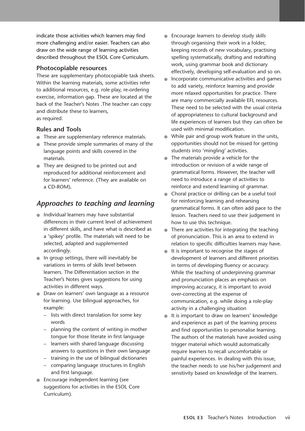indicate those activities which learners may find more challenging and/or easier. Teachers can also draw on the wide range of learning activities described throughout the ESOL Core Curriculum.

#### **Photocopiable resources**

These are supplementary photocopiable task sheets. Within the learning materials, some activities refer to additional resources, e.g. role play, re-ordering exercise, information gap. These are located at the back of the Teacher's Notes .The teacher can copy and distribute these to learners, as required.

#### **Rules and Tools**

- These are supplementary reference materials.
- These provide simple summaries of many of the language points and skills covered in the materials.
- They are designed to be printed out and reproduced for additional reinforcement and for learners' reference. (They are available on a CD-ROM).

## *Approaches to teaching and learning*

- Individual learners may have substantial differences in their current level of achievement in different skills, and have what is described as a 'spikey' profile. The materials will need to be selected, adapted and supplemented accordingly.
- In group settings, there will inevitably be variations in terms of skills level between learners. The Differentiation section in the Teacher's Notes gives suggestions for using activities in different ways.
- Draw on learners' own language as a resource for learning. Use bilingual approaches, for example:
	- lists with direct translation for some key words
	- planning the content of writing in mother tongue for those literate in first language
	- learners with shared language discussing answers to questions in their own language
	- training in the use of bilingual dictionaries
	- comparing language structures in English and first language.
- Encourage independent learning (see suggestions for activities in the ESOL Core Curriculum).
- Encourage learners to develop study skills through organising their work in a folder, keeping records of new vocabulary, practising spelling systematically, drafting and redrafting work, using grammar book and dictionary effectively, developing self-evaluation and so on.
- Incorporate communicative activities and games to add variety, reinforce learning and provide more relaxed opportunities for practice. There are many commercially available EFL resources. These need to be selected with the usual criteria of appropriateness to cultural background and life experiences of learners but they can often be used with minimal modification.
- While pair and group work feature in the units, opportunities should not be missed for getting students into 'mingling' activities.
- The materials provide a vehicle for the introduction or revision of a wide range of grammatical forms. However, the teacher will need to introduce a range of activities to reinforce and extend learning of grammar.
- Choral practice or drilling can be a useful tool for reinforcing learning and rehearsing grammatical forms. It can often add pace to the lesson. Teachers need to use their judgement in how to use this technique.
- There are activities for integrating the teaching of pronunciation. This is an area to extend in relation to specific difficulties learners may have.
- It is important to recognise the stages of development of learners and different priorities in terms of developing fluency or accuracy. While the teaching of underpinning grammar and pronunciation places an emphasis on improving accuracy, it is important to avoid over-correcting at the expense of communication, e.g. while doing a role-play activity in a challenging situation
- It is important to draw on learners' knowledge and experience as part of the learning process and find opportunities to personalise learning. The authors of the materials have avoided using trigger material which would automatically require learners to recall uncomfortable or painful experiences. In dealing with this issue, the teacher needs to use his/her judgement and sensitivity based on knowledge of the learners.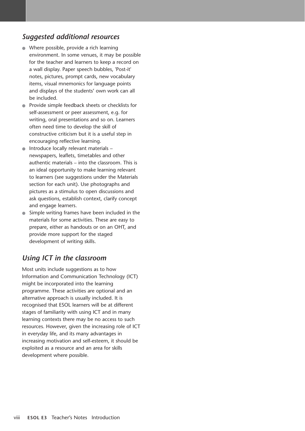### *Suggested additional resources*

- Where possible, provide a rich learning environment. In some venues, it may be possible for the teacher and learners to keep a record on a wall display. Paper speech bubbles, 'Post-it' notes, pictures, prompt cards, new vocabulary items, visual mnemonics for language points and displays of the students' own work can all be included.
- Provide simple feedback sheets or checklists for self-assessment or peer assessment, e.g. for writing, oral presentations and so on. Learners often need time to develop the skill of constructive criticism but it is a useful step in encouraging reflective learning.
- Introduce locally relevant materials newspapers, leaflets, timetables and other authentic materials – into the classroom. This is an ideal opportunity to make learning relevant to learners (see suggestions under the Materials section for each unit). Use photographs and pictures as a stimulus to open discussions and ask questions, establish context, clarify concept and engage learners.
- Simple writing frames have been included in the materials for some activities. These are easy to prepare, either as handouts or on an OHT, and provide more support for the staged development of writing skills.

## *Using ICT in the classroom*

Most units include suggestions as to how Information and Communication Technology (ICT) might be incorporated into the learning programme. These activities are optional and an alternative approach is usually included. It is recognised that ESOL learners will be at different stages of familiarity with using ICT and in many learning contexts there may be no access to such resources. However, given the increasing role of ICT in everyday life, and its many advantages in increasing motivation and self-esteem, it should be exploited as a resource and an area for skills development where possible.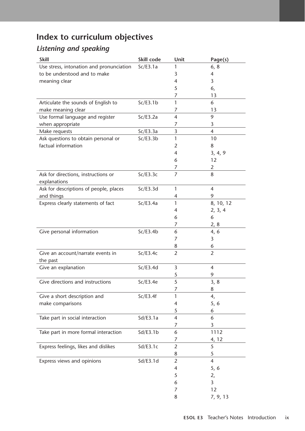# **Index to curriculum objectives**

## *Listening and speaking*

| <b>Skill</b>                             | Skill code | Unit                     | Page(s)        |
|------------------------------------------|------------|--------------------------|----------------|
| Use stress, intonation and pronunciation | Sc/E3.1a   | 1                        | 6, 8           |
| to be understood and to make             |            | 3                        | 4              |
| meaning clear                            |            | 4                        | 3              |
|                                          |            | 5                        | 6,             |
|                                          |            | 7                        | 13             |
| Articulate the sounds of English to      | Sc/E3.1b   | 1                        | 6              |
| make meaning clear                       |            | 7                        | 13             |
| Use formal language and register         | Sc/E3.2a   | $\overline{4}$           | 9              |
| when appropriate                         |            | 7                        | 3              |
| Make requests                            | Sc/E3.3a   | 3                        | $\overline{4}$ |
| Ask questions to obtain personal or      | Sc/E3.3b   | 1                        | 10             |
| factual information                      |            | 2                        | 8              |
|                                          |            | 4                        | 3, 4, 9        |
|                                          |            | 6                        | 12             |
|                                          |            | 7                        | $\overline{2}$ |
| Ask for directions, instructions or      | Sc/E3.3c   | 7                        | 8              |
| explanations                             |            |                          |                |
| Ask for descriptions of people, places   | Sc/E3.3d   | $\mathbf{1}$             | $\overline{4}$ |
| and things                               |            | 4                        | 9              |
| Express clearly statements of fact       | Sc/E3.4a   | 1                        | 8, 10, 12      |
|                                          |            | 4                        | 2, 3, 4        |
|                                          |            | 6                        | 6              |
|                                          |            | 7                        | 2, 8           |
| Give personal information                | Sc/E3.4b   | 6                        | 4, 6           |
|                                          |            | 7                        | 3              |
|                                          |            | 8                        | 6              |
| Give an account/narrate events in        | Sc/E3.4c   | $\overline{2}$           | $\overline{2}$ |
| the past                                 |            |                          |                |
| Give an explanation                      | Sc/E3.4d   | 3                        | $\overline{4}$ |
|                                          |            | 5                        | 9              |
| Give directions and instructions         | Sc/E3.4e   | 5                        | 3, 8           |
|                                          |            | 7                        | 8              |
| Give a short description and             | Sc/E3.4f   | 1                        | 4,             |
| make comparisons                         |            | $\overline{\mathcal{A}}$ | 5, 6           |
|                                          |            | 5                        | 6              |
| Take part in social interaction          | Sd/E3.1a   | $\overline{\mathcal{A}}$ | 6              |
|                                          |            | 7                        | 3              |
| Take part in more formal interaction     | Sd/E3.1b   | 6                        | 1112           |
|                                          |            | 7                        | 4, 12          |
| Express feelings, likes and dislikes     | Sd/ES.1c   | $\overline{2}$           | 5              |
|                                          |            | 8                        | 5              |
| Express views and opinions               | Sd/E3.1d   | $\overline{2}$           | $\overline{4}$ |
|                                          |            | 4                        | 5, 6           |
|                                          |            | 5                        | 2,             |
|                                          |            | 6                        | 3              |
|                                          |            | 7                        | 12             |
|                                          |            | 8                        | 7, 9, 13       |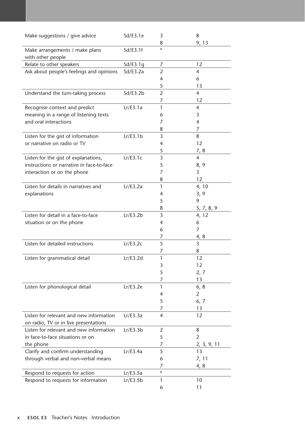| Make suggestions / give advice                                                    | Sd/ES.1e | 3<br>8              | 8<br>9, 13     |
|-----------------------------------------------------------------------------------|----------|---------------------|----------------|
| Make arrangements / make plans<br>with other people                               | Sd/ES.1f | $\star$             |                |
|                                                                                   |          |                     | 12             |
| Relate to other speakers                                                          | Sd/E3.1g | 7                   |                |
| Ask about people's feelings and opinions                                          | Sd/E3.2a | 2                   | 4              |
|                                                                                   |          | $\overline{4}$      | 6              |
|                                                                                   |          | 5                   | 13             |
| Understand the turn-taking process                                                | Sd/E3.2b | $\overline{2}$<br>7 | 4<br>12        |
| Recognise context and predict                                                     | Lr/E3.1a | 1                   | 4              |
| meaning in a range of listening texts                                             |          | 6                   | 3              |
| and oral interactions                                                             |          | 7                   | 4              |
|                                                                                   |          | 8                   | 7              |
| Listen for the gist of information                                                | Lr/E3.1b | 3                   | 8              |
| or narrative on radio or TV                                                       |          | 4                   | 12             |
|                                                                                   |          | 5                   |                |
|                                                                                   | Lr/E3.1c | 3                   | 7, 8<br>4      |
| Listen for the gist of explanations,<br>instructions or narrative in face-to-face |          |                     |                |
|                                                                                   |          | 5                   | 8, 9           |
| interaction or on the phone                                                       |          | 7                   | 3              |
|                                                                                   |          | 8                   | 12             |
| Listen for details in narratives and                                              | Lr/E3.2a | $\mathbf{1}$        | 4, 10          |
| explanations                                                                      |          | 4                   | 3, 9           |
|                                                                                   |          | 5                   | 9              |
|                                                                                   |          | 8                   | 5, 7, 8, 9     |
| Listen for detail in a face-to-face                                               | Lr/E3.2b | 3                   | 4, 12          |
| situation or on the phone                                                         |          | $\overline{4}$      | 6              |
|                                                                                   |          | 6                   | 7              |
|                                                                                   |          | 7                   | 4, 8           |
| Listen for detailed instructions                                                  | Lr/E3.2c | 5                   | 3              |
|                                                                                   |          | 7                   | 8              |
| Listen for grammatical detail                                                     | Lr/E3.2d | 1                   | 12             |
|                                                                                   |          | 3                   | 12             |
|                                                                                   |          | 5                   | 2, 7           |
|                                                                                   |          | 7                   | 13             |
| Listen for phonological detail                                                    | Lr/E3.2e | $\mathbf{1}$        | 6, 8           |
|                                                                                   |          | 4                   | $\overline{2}$ |
|                                                                                   |          | 5                   | 6, 7           |
|                                                                                   |          | 7                   | 13             |
| Listen for relevant and new information                                           | Lr/E3.3a | $\overline{4}$      | 12             |
| on radio, TV or in live presentations                                             |          |                     |                |
| Listen for relevant and new information                                           | Lr/E3.3b | 2                   | 8              |
| in face-to-face situations or on                                                  |          | 5                   | 2              |
| the phone                                                                         |          | 7                   | 2, 3, 9, 11    |
| Clarify and confirm understanding                                                 | Lr/E3.4a | 5                   | 13             |
| through verbal and non-verbal means                                               |          | 6                   | 7, 11          |
|                                                                                   |          | 7                   | 4, 8           |
| Respond to requests for action                                                    | Lr/E3.5a | $\star$             |                |
| Respond to requests for information                                               | Lr/E3.5b | 1                   | 10             |
|                                                                                   |          | 6                   | 11             |
|                                                                                   |          |                     |                |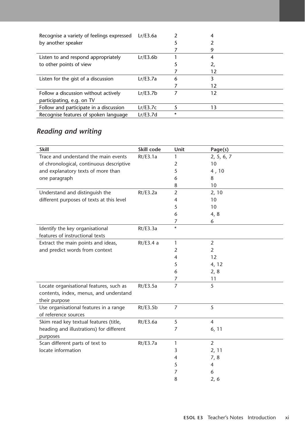| Recognise a variety of feelings expressed | Lr/E3.6a |   |    |  |
|-------------------------------------------|----------|---|----|--|
| by another speaker                        |          |   |    |  |
|                                           |          |   | 9  |  |
| Listen to and respond appropriately       | Lr/E3.6b |   |    |  |
| to other points of view                   |          |   |    |  |
|                                           |          |   | 12 |  |
| Listen for the gist of a discussion       | Lr/E3.7a | 6 |    |  |
|                                           |          |   | 12 |  |
| Follow a discussion without actively      | Lr/E3.7b |   | 12 |  |
| participating, e.g. on TV                 |          |   |    |  |
| Follow and participate in a discussion    | Lr/E3.7c |   | 13 |  |
| Recognise features of spoken language     | Lr/E3.7d | * |    |  |

## *Reading and writing*

| <b>Skill</b>                              | Skill code | Unit           | Page(s)        |
|-------------------------------------------|------------|----------------|----------------|
| Trace and understand the main events      | Rt/E3.1a   | 1              | 2, 5, 6, 7     |
| of chronological, continuous descriptive  |            | $\overline{2}$ | 10             |
| and explanatory texts of more than        |            | 5              | 4,10           |
| one paragraph                             |            | 6              | 8              |
|                                           |            | 8              | 10             |
| Understand and distinguish the            | Rt/E3.2a   | $\overline{2}$ | 2, 10          |
| different purposes of texts at this level |            | 4              | 10             |
|                                           |            | 5              | 10             |
|                                           |            | 6              | 4, 8           |
|                                           |            | $\overline{7}$ | 6              |
| Identify the key organisational           | Rt/E3.3a   | $\star$        |                |
| features of instructional texts           |            |                |                |
| Extract the main points and ideas,        | Rt/E3.4a   | 1              | $\overline{2}$ |
| and predict words from context            |            | 2              | $\overline{2}$ |
|                                           |            | 4              | 12             |
|                                           |            | 5              | 4, 12          |
|                                           |            | 6              | 2, 8           |
|                                           |            | 7              | 11             |
| Locate organisational features, such as   | Rt/E3.5a   | $\overline{7}$ | 5              |
| contents, index, menus, and understand    |            |                |                |
| their purpose                             |            |                |                |
| Use organisational features in a range    | Rt/E3.5b   | 7              | 5              |
| of reference sources                      |            |                |                |
| Skim read key textual features (title,    | Rt/E3.6a   | 5              | $\overline{4}$ |
| heading and illustrations) for different  |            | 7              | 6, 11          |
| purposes                                  |            |                |                |
| Scan different parts of text to           | Rt/E3.7a   | 1              | $\overline{2}$ |
| locate information                        |            | 3              | 2, 11          |
|                                           |            | 4              | 7, 8           |
|                                           |            | 5              | $\overline{4}$ |
|                                           |            | 7              | 6              |
|                                           |            | 8              | 2, 6           |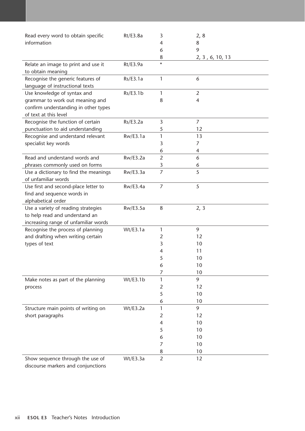| Read every word to obtain specific                       | Rt/E3.8a | 3              | 2, 8            |
|----------------------------------------------------------|----------|----------------|-----------------|
| information                                              |          | 4              | 8               |
|                                                          |          | 6              | 9               |
|                                                          |          | 8              | 2, 3, 6, 10, 13 |
| Relate an image to print and use it<br>to obtain meaning | Rt/E3.9a | $\star$        |                 |
| Recognise the generic features of                        | Rs/E3.1a | 1              | 6               |
| language of instructional texts                          |          |                |                 |
| Use knowledge of syntax and                              | Rs/E3.1b | 1              | $\overline{2}$  |
| grammar to work out meaning and                          |          | 8              | $\overline{4}$  |
| confirm understanding in other types                     |          |                |                 |
| of text at this level                                    |          |                |                 |
| Recognise the function of certain                        | Rs/E3.2a | 3              | $\overline{7}$  |
| punctuation to aid understanding                         |          | 5              | 12              |
| Recognise and understand relevant                        | Rw/E3.1a | 1              | 13              |
| specialist key words                                     |          | 3              | 7               |
|                                                          |          | 6              | 4               |
| Read and understand words and                            | Rw/E3.2a | $\overline{2}$ | 6               |
| phrases commonly used on forms                           |          | 3              | 6               |
| Use a dictionary to find the meanings                    | Rw/E3.3a | 7              | 5               |
| of unfamiliar words                                      |          |                |                 |
| Use first and second-place letter to                     | Rw/E3.4a | $\overline{7}$ | 5               |
| find and sequence words in                               |          |                |                 |
| alphabetical order                                       |          |                |                 |
| Use a variety of reading strategies                      | Rw/E3.5a | $\,8\,$        | 2, 3            |
| to help read and understand an                           |          |                |                 |
| increasing range of unfamiliar words                     |          |                |                 |
| Recognise the process of planning                        | Wt/E3.1a | 1              | 9               |
| and drafting when writing certain                        |          | 2              | 12              |
| types of text                                            |          | 3              | 10              |
|                                                          |          | 4              | 11              |
|                                                          |          | 5              | 10              |
|                                                          |          | 6              | 10              |
|                                                          |          | 7              | 10              |
| Make notes as part of the planning                       | Wt/E3.1b | 1              | 9               |
| process                                                  |          | $\overline{2}$ | 12              |
|                                                          |          | 5              | 10              |
|                                                          |          | 6              | 10              |
| Structure main points of writing on                      | Wt/E3.2a | 1              | 9               |
| short paragraphs                                         |          |                |                 |
|                                                          |          | $\overline{2}$ | 12              |
|                                                          |          | 4              | 10              |
|                                                          |          | 5              | 10              |
|                                                          |          | 6              | 10              |
|                                                          |          | 7              | 10              |
|                                                          |          | 8              | 10              |
| Show sequence through the use of                         | Wt/E3.3a | $\overline{2}$ | 12              |

discourse markers and conjunctions